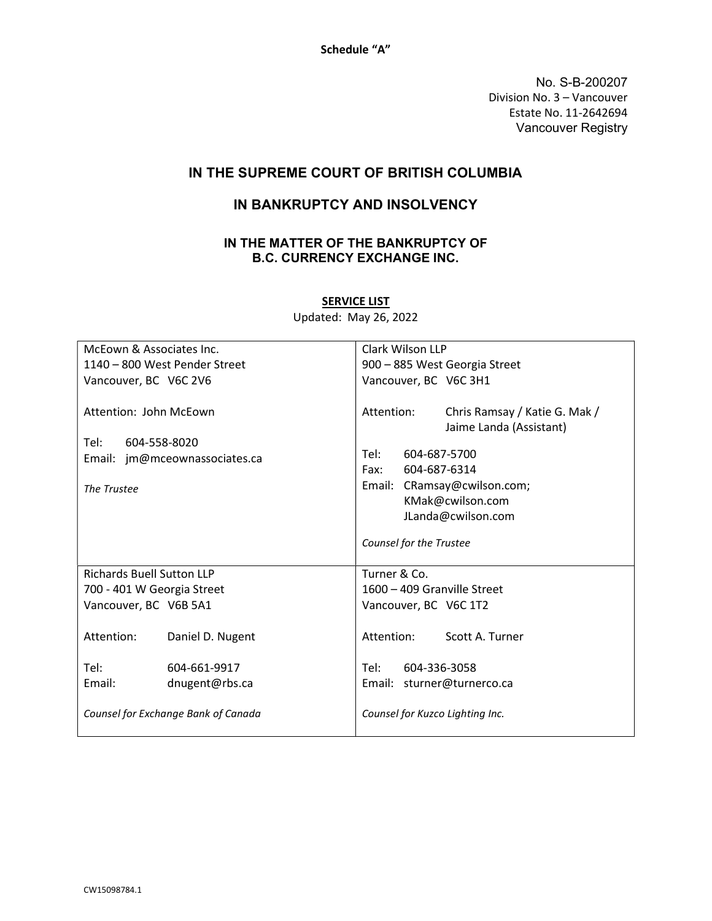Schedule "A"

No. S-B-200207 Division No. 3 – Vancouver Estate No. 11-2642694 Vancouver Registry

## IN THE SUPREME COURT OF BRITISH COLUMBIA

## IN BANKRUPTCY AND INSOLVENCY

## IN THE MATTER OF THE BANKRUPTCY OF B.C. CURRENCY EXCHANGE INC.

| McEown & Associates Inc.                       |                  | Clark Wilson LLP                                                       |
|------------------------------------------------|------------------|------------------------------------------------------------------------|
| 1140 - 800 West Pender Street                  |                  | 900 - 885 West Georgia Street                                          |
| Vancouver, BC V6C 2V6                          |                  | Vancouver, BC V6C 3H1                                                  |
| Attention: John McEown<br>Tel:<br>604-558-8020 |                  | Attention:<br>Chris Ramsay / Katie G. Mak /<br>Jaime Landa (Assistant) |
| Email: jm@mceownassociates.ca                  |                  | Tel:<br>604-687-5700                                                   |
|                                                |                  | Fax:<br>604-687-6314                                                   |
| The Trustee                                    |                  | Email: CRamsay@cwilson.com;                                            |
|                                                |                  | KMak@cwilson.com                                                       |
|                                                |                  | JLanda@cwilson.com                                                     |
|                                                |                  | Counsel for the Trustee                                                |
| <b>Richards Buell Sutton LLP</b>               |                  | Turner & Co.                                                           |
| 700 - 401 W Georgia Street                     |                  | 1600 - 409 Granville Street                                            |
| Vancouver, BC V6B 5A1                          |                  | Vancouver, BC V6C 1T2                                                  |
| Attention:                                     | Daniel D. Nugent | Attention: Scott A. Turner                                             |
| Tel:                                           | 604-661-9917     | 604-336-3058<br>Tel: Tel                                               |
| Email:                                         | dnugent@rbs.ca   | Email: sturner@turnerco.ca                                             |
| Counsel for Exchange Bank of Canada            |                  | Counsel for Kuzco Lighting Inc.                                        |

**SERVICE LIST** Updated: May 26, 2022